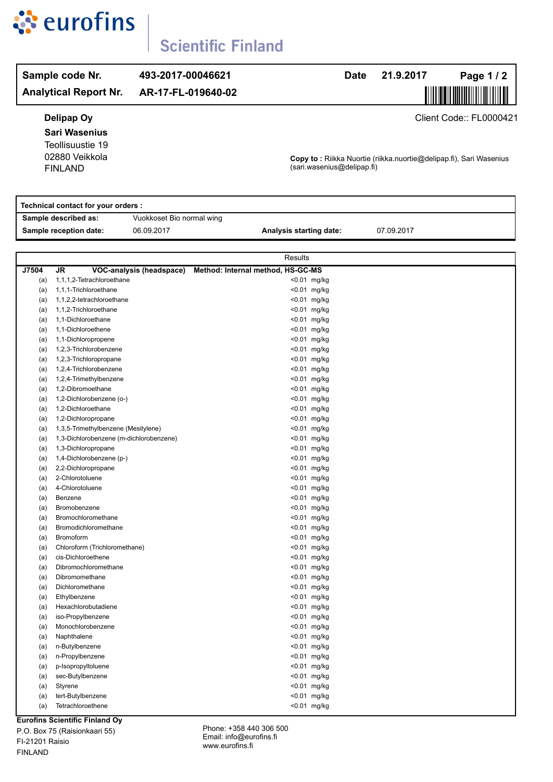

# **Scientific Finland**

### **Sample code Nr.** 493-2017-00046621 **Date** 21.9.2017 **Analytical Report Nr. Page 1/2**  $AR-17-FL-019640-02$ **Delipap Oy** Client Code:: FL0000421 **Sari Wasenius** Teollisuustie 19 FINLAND 02880 Veikkola **Copy to :** Riikka Nuortie (riikka.nuortie@delipap.fi), Sari Wasenius (sari.wasenius@delipap.fi) **Technical contact for your orders : Sample described as:** Vuokkoset Bio normal wing

**Sample reception date:** 06.09.2017 **Analysis starting date:** 07.09.2017

|       | Results                                 |                                   |                |
|-------|-----------------------------------------|-----------------------------------|----------------|
| J7504 | JR<br>VOC-analysis (headspace)          | Method: Internal method, HS-GC-MS |                |
| (a)   | 1,1,1,2-Tetrachloroethane               |                                   | $< 0.01$ mg/kg |
| (a)   | 1,1,1-Trichloroethane                   |                                   | <0.01 mg/kg    |
| (a)   | 1,1,2,2-tetrachloroethane               |                                   | <0.01 mg/kg    |
| (a)   | 1,1,2-Trichloroethane                   |                                   | <0.01 mg/kg    |
| (a)   | 1,1-Dichloroethane                      |                                   | <0.01 mg/kg    |
| (a)   | 1,1-Dichloroethene                      |                                   | $< 0.01$ mg/kg |
| (a)   | 1,1-Dichloropropene                     |                                   | $< 0.01$ mg/kg |
| (a)   | 1,2,3-Trichlorobenzene                  |                                   | <0.01 mg/kg    |
| (a)   | 1,2,3-Trichloropropane                  |                                   | <0.01 mg/kg    |
| (a)   | 1,2,4-Trichlorobenzene                  |                                   | <0.01 mg/kg    |
| (a)   | 1,2,4-Trimethylbenzene                  |                                   | <0.01 mg/kg    |
| (a)   | 1,2-Dibromoethane                       |                                   | $< 0.01$ mg/kg |
| (a)   | 1,2-Dichlorobenzene (o-)                |                                   | <0.01 mg/kg    |
| (a)   | 1,2-Dichloroethane                      |                                   | <0.01 mg/kg    |
| (a)   | 1,2-Dichloropropane                     |                                   | <0.01 mg/kg    |
| (a)   | 1,3,5-Trimethylbenzene (Mesitylene)     |                                   | <0.01 mg/kg    |
| (a)   | 1,3-Dichlorobenzene (m-dichlorobenzene) |                                   | <0.01 mg/kg    |
| (a)   | 1,3-Dichloropropane                     |                                   | <0.01 mg/kg    |
| (a)   | 1,4-Dichlorobenzene (p-)                |                                   | $< 0.01$ mg/kg |
| (a)   | 2,2-Dichloropropane                     |                                   | <0.01 mg/kg    |
| (a)   | 2-Chlorotoluene                         |                                   | <0.01 mg/kg    |
| (a)   | 4-Chlorotoluene                         |                                   | <0.01 mg/kg    |
| (a)   | Benzene                                 |                                   | <0.01 mg/kg    |
| (a)   | Bromobenzene                            |                                   | <0.01 mg/kg    |
| (a)   | Bromochloromethane                      |                                   | <0.01 mg/kg    |
| (a)   | Bromodichloromethane                    |                                   | <0.01 mg/kg    |
| (a)   | Bromoform                               |                                   | <0.01 mg/kg    |
| (a)   | Chloroform (Trichloromethane)           |                                   | <0.01 mg/kg    |
| (a)   | cis-Dichloroethene                      |                                   | <0.01 mg/kg    |
| (a)   | Dibromochloromethane                    |                                   | <0.01 mg/kg    |
| (a)   | Dibromomethane                          |                                   | <0.01 mg/kg    |
| (a)   | Dichloromethane                         |                                   | <0.01 mg/kg    |
| (a)   | Ethylbenzene                            |                                   | <0.01 mg/kg    |
| (a)   | Hexachlorobutadiene                     |                                   | <0.01 mg/kg    |
| (a)   | iso-Propylbenzene                       |                                   | <0.01 mg/kg    |
| (a)   | Monochlorobenzene                       |                                   | <0.01 mg/kg    |
| (a)   | Naphthalene                             |                                   | $< 0.01$ mg/kg |
| (a)   | n-Butylbenzene                          |                                   | <0.01 mg/kg    |
| (a)   | n-Propylbenzene                         |                                   | <0.01 mg/kg    |
| (a)   | p-Isopropyltoluene                      |                                   | <0.01 mg/kg    |
| (a)   | sec-Butylbenzene                        |                                   | <0.01 mg/kg    |
| (a)   | Styrene                                 |                                   | <0.01 mg/kg    |
| (a)   | tert-Butylbenzene                       |                                   | <0.01 mg/kg    |
| (a)   | Tetrachloroethene<br>.                  |                                   | $< 0.01$ mg/kg |

**Eurofins Scientific Finland Oy**

P.O. Box 75 (Raisionkaari 55) FI-21201 Raisio FINLAND

Phone: +358 440 306 500 Email: info@eurofins.fi www.eurofins.fi